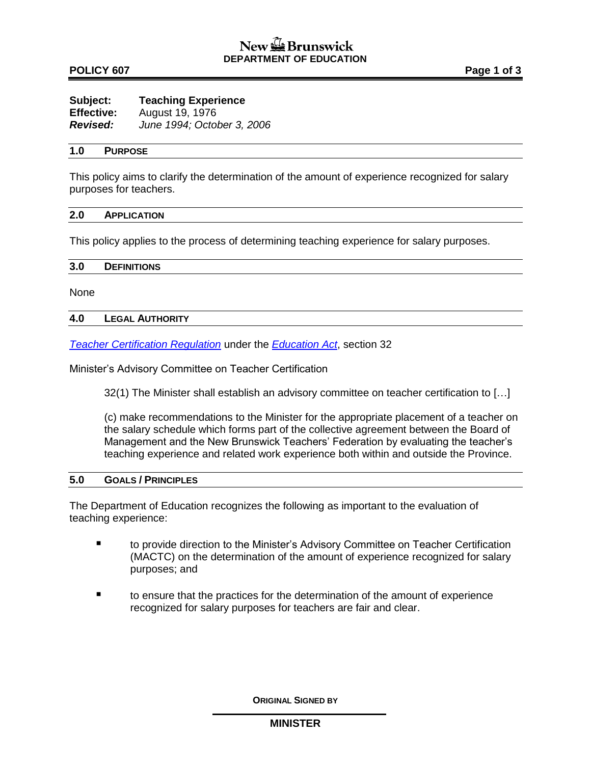### **POLICY 607 Page 1 of 3**

| Subject:          | <b>Teaching Experience</b> |
|-------------------|----------------------------|
| <b>Effective:</b> | August 19, 1976            |
| <b>Revised:</b>   | June 1994; October 3, 2006 |

### **1.0 PURPOSE**

This policy aims to clarify the determination of the amount of experience recognized for salary purposes for teachers.

#### **2.0 APPLICATION**

This policy applies to the process of determining teaching experience for salary purposes.

| 3.0<br><b>DEFINITIONS</b> |
|---------------------------|
|---------------------------|

None

### **4.0 LEGAL AUTHORITY**

*[Teacher Certification Regulation](http://laws.gnb.ca/en/ShowPdf/cr/2004-8.pdf)* under the *[Education Act](http://laws.gnb.ca/en/ShowPdf/cs/E-1.12.pdf)*, section 32

Minister's Advisory Committee on Teacher Certification

32(1) The Minister shall establish an advisory committee on teacher certification to […]

(c) make recommendations to the Minister for the appropriate placement of a teacher on the salary schedule which forms part of the collective agreement between the Board of Management and the New Brunswick Teachers' Federation by evaluating the teacher's teaching experience and related work experience both within and outside the Province.

### **5.0 GOALS / PRINCIPLES**

The Department of Education recognizes the following as important to the evaluation of teaching experience:

- to provide direction to the Minister's Advisory Committee on Teacher Certification (MACTC) on the determination of the amount of experience recognized for salary purposes; and
- to ensure that the practices for the determination of the amount of experience recognized for salary purposes for teachers are fair and clear.

**ORIGINAL SIGNED BY**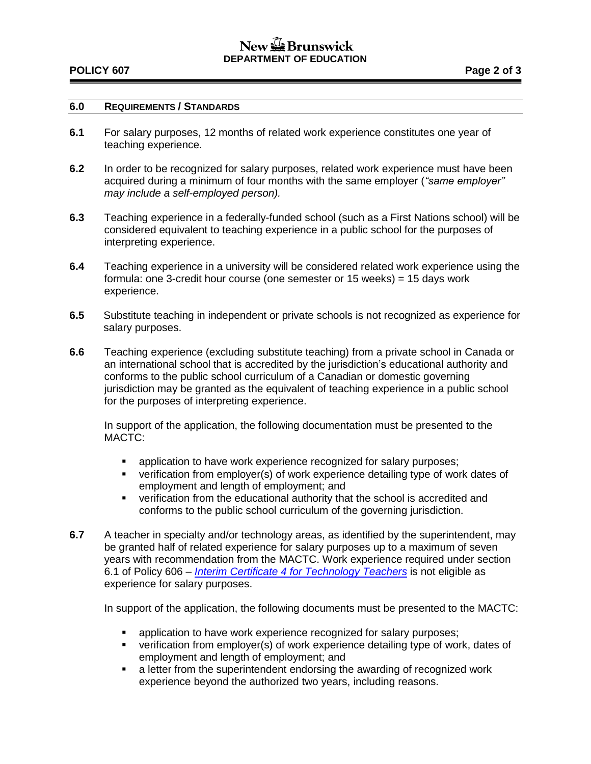### **POLICY 607 Page 2 of 3**

## **6.0 REQUIREMENTS / STANDARDS**

- **6.1** For salary purposes, 12 months of related work experience constitutes one year of teaching experience.
- **6.2** In order to be recognized for salary purposes, related work experience must have been acquired during a minimum of four months with the same employer (*"same employer" may include a self-employed person).*
- **6.3** Teaching experience in a federally-funded school (such as a First Nations school) will be considered equivalent to teaching experience in a public school for the purposes of interpreting experience.
- **6.4** Teaching experience in a university will be considered related work experience using the formula: one 3-credit hour course (one semester or 15 weeks) = 15 days work experience.
- **6.5** Substitute teaching in independent or private schools is not recognized as experience for salary purposes.
- **6.6** Teaching experience (excluding substitute teaching) from a private school in Canada or an international school that is accredited by the jurisdiction's educational authority and conforms to the public school curriculum of a Canadian or domestic governing jurisdiction may be granted as the equivalent of teaching experience in a public school for the purposes of interpreting experience.

In support of the application, the following documentation must be presented to the MACTC:

- **EXECT** application to have work experience recognized for salary purposes;
- verification from employer(s) of work experience detailing type of work dates of employment and length of employment; and
- verification from the educational authority that the school is accredited and conforms to the public school curriculum of the governing jurisdiction.
- **6.7** A teacher in specialty and/or technology areas, as identified by the superintendent, may be granted half of related experience for salary purposes up to a maximum of seven years with recommendation from the MACTC. Work experience required under section 6.1 of Policy 606 – *[Interim Certificate 4 for Technology Teachers](http://www2.gnb.ca/content/dam/gnb/Departments/ed/pdf/K12/policies-politiques/e/606A.pdf)* is not eligible as experience for salary purposes.

In support of the application, the following documents must be presented to the MACTC:

- **EXECT** application to have work experience recognized for salary purposes;
- verification from employer(s) of work experience detailing type of work, dates of employment and length of employment; and
- **EXECT** a letter from the superintendent endorsing the awarding of recognized work experience beyond the authorized two years, including reasons.